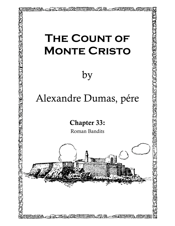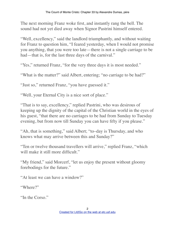The next morning Franz woke first, and instantly rang the bell. The sound had not yet died away when Signor Pastrini himself entered.

"Well, excellency," said the landlord triumphantly, and without waiting for Franz to question him, "I feared yesterday, when I would not promise you anything, that you were too late—there is not a single carriage to be had—that is, for the last three days of the carnival."

"Yes," returned Franz, "for the very three days it is most needed."

"What is the matter?" said Albert, entering; "no carriage to be had?"

"Just so," returned Franz, "you have guessed it."

"Well, your Eternal City is a nice sort of place."

"That is to say, excellency," replied Pastrini, who was desirous of keeping up the dignity of the capital of the Christian world in the eyes of his guest, "that there are no carriages to be had from Sunday to Tuesday evening, but from now till Sunday you can have fifty if you please."

"Ah, that is something," said Albert; "to–day is Thursday, and who knows what may arrive between this and Sunday?"

"Ten or twelve thousand travellers will arrive," replied Franz, "which will make it still more difficult."

"My friend," said Morcerf, "let us enjoy the present without gloomy forebodings for the future."

"At least we can have a window?"

"Where?"

"In the Corso."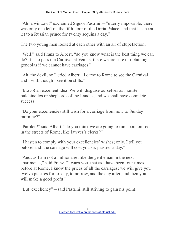"Ah, a window!" exclaimed Signor Pastrini,—"utterly impossible; there was only one left on the fifth floor of the Doria Palace, and that has been let to a Russian prince for twenty sequins a day."

The two young men looked at each other with an air of stupefaction.

"Well," said Franz to Albert, "do you know what is the best thing we can do? It is to pass the Carnival at Venice; there we are sure of obtaining gondolas if we cannot have carriages."

"Ah, the devil, no," cried Albert; "I came to Rome to see the Carnival, and I will, though I see it on stilts."

"Bravo! an excellent idea. We will disguise ourselves as monster pulchinellos or shepherds of the Landes, and we shall have complete success."

"Do your excellencies still wish for a carriage from now to Sunday morning?"

"Parbleu!" said Albert, "do you think we are going to run about on foot in the streets of Rome, like lawyer's clerks?"

"I hasten to comply with your excellencies' wishes; only, I tell you beforehand, the carriage will cost you six piastres a day."

"And, as I am not a millionaire, like the gentleman in the next apartments," said Franz, "I warn you, that as I have been four times before at Rome, I know the prices of all the carriages; we will give you twelve piastres for to–day, tomorrow, and the day after, and then you will make a good profit."

"But, excellency"—said Pastrini, still striving to gain his point.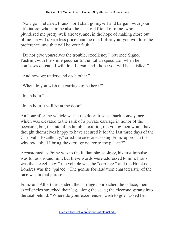"Now go," returned Franz, "or I shall go myself and bargain with your affettatore, who is mine also; he is an old friend of mine, who has plundered me pretty well already, and, in the hope of making more out of me, he will take a less price than the one I offer you; you will lose the preference, and that will be your fault."

"Do not give yourselves the trouble, excellency," returned Signor Pastrini, with the smile peculiar to the Italian speculator when he confesses defeat; "I will do all I can, and I hope you will be satisfied."

"And now we understand each other."

"When do you wish the carriage to be here?"

"In an hour."

"In an hour it will be at the door."

An hour after the vehicle was at the door; it was a hack conveyance which was elevated to the rank of a private carriage in honor of the occasion, but, in spite of its humble exterior, the young men would have thought themselves happy to have secured it for the last three days of the Carnival. "Excellency," cried the cicerone, seeing Franz approach the window, "shall I bring the carriage nearer to the palace?"

Accustomed as Franz was to the Italian phraseology, his first impulse was to look round him, but these words were addressed to him. Franz was the "excellency," the vehicle was the "carriage," and the Hotel de Londres was the "palace." The genius for laudation characteristic of the race was in that phrase.

Franz and Albert descended, the carriage approached the palace; their excellencies stretched their legs along the seats; the cicerone sprang into the seat behind. "Where do your excellencies wish to go?" asked he.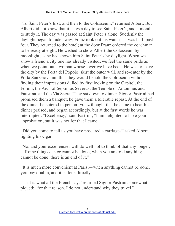"To Saint Peter's first, and then to the Colosseum," returned Albert. But Albert did not know that it takes a day to see Saint Peter's, and a month to study it. The day was passed at Saint Peter's alone. Suddenly the daylight began to fade away; Franz took out his watch—it was half–past four. They returned to the hotel; at the door Franz ordered the coachman to be ready at eight. He wished to show Albert the Colosseum by moonlight, as he had shown him Saint Peter's by daylight. When we show a friend a city one has already visited, we feel the same pride as when we point out a woman whose lover we have been. He was to leave the city by the Porta del Popolo, skirt the outer wall, and re–enter by the Porta San Giovanni; thus they would behold the Colosseum without finding their impressions dulled by first looking on the Capitol, the Forum, the Arch of Septimus Severus, the Temple of Antoninus and Faustina, and the Via Sacra. They sat down to dinner. Signor Pastrini had promised them a banquet; he gave them a tolerable repast. At the end of the dinner he entered in person. Franz thought that he came to hear his dinner praised, and began accordingly, but at the first words he was interrupted. "Excellency," said Pastrini, "I am delighted to have your approbation, but it was not for that I came."

"Did you come to tell us you have procured a carriage?" asked Albert, lighting his cigar.

"No; and your excellencies will do well not to think of that any longer; at Rome things can or cannot be done; when you are told anything cannot be done, there is an end of it."

"It is much more convenient at Paris,—when anything cannot be done, you pay double, and it is done directly."

"That is what all the French say," returned Signor Pastrini, somewhat piqued; "for that reason, I do not understand why they travel."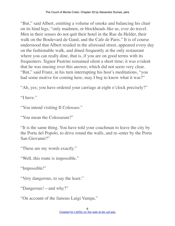"But," said Albert, emitting a volume of smoke and balancing his chair on its hind legs, "only madmen, or blockheads like us, ever do travel. Men in their senses do not quit their hotel in the Rue du Helder, their walk on the Boulevard de Gand, and the Cafe de Paris." It is of course understood that Albert resided in the aforesaid street, appeared every day on the fashionable walk, and dined frequently at the only restaurant where you can really dine, that is, if you are on good terms with its frequenters. Signor Pastrini remained silent a short time; it was evident that he was musing over this answer, which did not seem very clear. "But," said Franz, in his turn interrupting his host's meditations, "you had some motive for coming here, may I beg to know what it was?"

"Ah, yes; you have ordered your carriage at eight o'clock precisely?"

"I have."

"You intend visiting Il Colosseo."

"You mean the Colosseum?"

"It is the same thing. You have told your coachman to leave the city by the Porta del Popolo, to drive round the walls, and re–enter by the Porta San Giovanni?"

"These are my words exactly."

"Well, this route is impossible."

"Impossible!"

"Very dangerous, to say the least."

"Dangerous!—and why?"

"On account of the famous Luigi Vampa."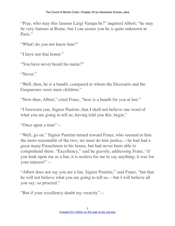"Pray, who may this famous Luigi Vampa be?" inquired Albert; "he may be very famous at Rome, but I can assure you he is quite unknown at Paris."

"What! do you not know him?"

"I have not that honor."

"You have never heard his name?"

"Never."

"Well, then, he is a bandit, compared to whom the Decesaris and the Gasparones were mere children."

"Now then, Albert," cried Franz, "here is a bandit for you at last."

"I forewarn you, Signor Pastrini, that I shall not believe one word of what you are going to tell us; having told you this, begin."

"Once upon a time"—

"Well, go on." Signor Pastrini turned toward Franz, who seemed to him the more reasonable of the two; we must do him justice,—he had had a great many Frenchmen in his house, but had never been able to comprehend them. "Excellency," said he gravely, addressing Franz, "if you look upon me as a liar, it is useless for me to say anything; it was for your interest!"—

"Albert does not say you are a liar, Signor Pastrini," said Franz, "but that he will not believe what you are going to tell us,—but I will believe all you say; so proceed."

"But if your excellency doubt my veracity"—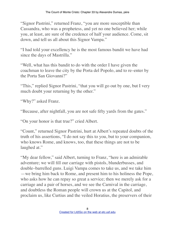"Signor Pastrini," returned Franz, "you are more susceptible than Cassandra, who was a prophetess, and yet no one believed her; while you, at least, are sure of the credence of half your audience. Come, sit down, and tell us all about this Signor Vampa."

"I had told your excellency he is the most famous bandit we have had since the days of Mastrilla."

"Well, what has this bandit to do with the order I have given the coachman to leave the city by the Porta del Popolo, and to re–enter by the Porta San Giovanni?"

"This," replied Signor Pastrini, "that you will go out by one, but I very much doubt your returning by the other."

"Why?" asked Franz.

"Because, after nightfall, you are not safe fifty yards from the gates."

"On your honor is that true?" cried Albert.

"Count," returned Signor Pastrini, hurt at Albert's repeated doubts of the truth of his assertions, "I do not say this to you, but to your companion, who knows Rome, and knows, too, that these things are not to be laughed at."

"My dear fellow," said Albert, turning to Franz, "here is an admirable adventure; we will fill our carriage with pistols, blunderbusses, and double–barrelled guns. Luigi Vampa comes to take us, and we take him —we bring him back to Rome, and present him to his holiness the Pope, who asks how he can repay so great a service; then we merely ask for a carriage and a pair of horses, and we see the Carnival in the carriage, and doubtless the Roman people will crown us at the Capitol, and proclaim us, like Curtius and the veiled Horatius, the preservers of their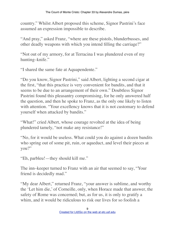country." Whilst Albert proposed this scheme, Signor Pastrini's face assumed an expression impossible to describe.

"And pray," asked Franz, "where are these pistols, blunderbusses, and other deadly weapons with which you intend filling the carriage?"

"Not out of my armory, for at Terracina I was plundered even of my hunting–knife."

"I shared the same fate at Aquapendente."

"Do you know, Signor Pastrini," said Albert, lighting a second cigar at the first, "that this practice is very convenient for bandits, and that it seems to be due to an arrangement of their own." Doubtless Signor Pastrini found this pleasantry compromising, for he only answered half the question, and then he spoke to Franz, as the only one likely to listen with attention. "Your excellency knows that it is not customary to defend yourself when attacked by bandits."

"What!" cried Albert, whose courage revolted at the idea of being plundered tamely, "not make any resistance!"

"No, for it would be useless. What could you do against a dozen bandits who spring out of some pit, ruin, or aqueduct, and level their pieces at you?"

"Eh, parbleu!—they should kill me."

The inn–keeper turned to Franz with an air that seemed to say, "Your friend is decidedly mad."

"My dear Albert," returned Franz, "your answer is sublime, and worthy the 'Let him die,' of Corneille, only, when Horace made that answer, the safety of Rome was concerned; but, as for us, it is only to gratify a whim, and it would be ridiculous to risk our lives for so foolish a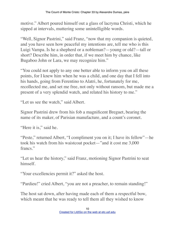motive." Albert poured himself out a glass of lacryma Christi, which he sipped at intervals, muttering some unintelligible words.

"Well, Signor Pastrini," said Franz, "now that my companion is quieted, and you have seen how peaceful my intentions are, tell me who is this Luigi Vampa. Is he a shepherd or a nobleman?—young or old?—tall or short? Describe him, in order that, if we meet him by chance, like Bugaboo John or Lara, we may recognize him."

"You could not apply to any one better able to inform you on all these points, for I knew him when he was a child, and one day that I fell into his hands, going from Ferentino to Alatri, he, fortunately for me, recollected me, and set me free, not only without ransom, but made me a present of a very splendid watch, and related his history to me."

"Let us see the watch," said Albert.

Signor Pastrini drew from his fob a magnificent Breguet, bearing the name of its maker, of Parisian manufacture, and a count's coronet.

"Here it is," said he.

"Peste," returned Albert, "I compliment you on it; I have its fellow"—he took his watch from his waistcoat pocket—"and it cost me 3,000 francs."

"Let us hear the history," said Franz, motioning Signor Pastrini to seat himself.

"Your excellencies permit it?" asked the host.

"Pardieu!" cried Albert, "you are not a preacher, to remain standing!"

The host sat down, after having made each of them a respectful bow, which meant that he was ready to tell them all they wished to know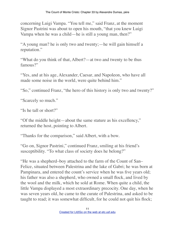concerning Luigi Vampa. "You tell me," said Franz, at the moment Signor Pastrini was about to open his mouth, "that you knew Luigi Vampa when he was a child—he is still a young man, then?"

"A young man? he is only two and twenty;—he will gain himself a reputation."

"What do you think of that, Albert?—at two and twenty to be thus famous?"

"Yes, and at his age, Alexander, Caesar, and Napoleon, who have all made some noise in the world, were quite behind him."

"So," continued Franz, "the hero of this history is only two and twenty?"

"Scarcely so much."

"Is he tall or short?"

"Of the middle height—about the same stature as his excellency," returned the host, pointing to Albert.

"Thanks for the comparison," said Albert, with a bow.

"Go on, Signor Pastrini," continued Franz, smiling at his friend's susceptibility. "To what class of society does he belong?"

"He was a shepherd–boy attached to the farm of the Count of San– Felice, situated between Palestrina and the lake of Gabri; he was born at Pampinara, and entered the count's service when he was five years old; his father was also a shepherd, who owned a small flock, and lived by the wool and the milk, which he sold at Rome. When quite a child, the little Vampa displayed a most extraordinary precocity. One day, when he was seven years old, he came to the curate of Palestrina, and asked to be taught to read; it was somewhat difficult, for he could not quit his flock;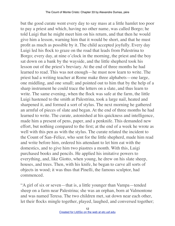but the good curate went every day to say mass at a little hamlet too poor to pay a priest and which, having no other name, was called Borgo; he told Luigi that he might meet him on his return, and that then he would give him a lesson, warning him that it would be short, and that he must profit as much as possible by it. The child accepted joyfully. Every day Luigi led his flock to graze on the road that leads from Palestrina to Borgo; every day, at nine o'clock in the morning, the priest and the boy sat down on a bank by the wayside, and the little shepherd took his lesson out of the priest's breviary. At the end of three months he had learned to read. This was not enough—he must now learn to write. The priest had a writing teacher at Rome make three alphabets—one large, one middling, and one small; and pointed out to him that by the help of a sharp instrument he could trace the letters on a slate, and thus learn to write. The same evening, when the flock was safe at the farm, the little Luigi hastened to the smith at Palestrina, took a large nail, heated and sharpened it, and formed a sort of stylus. The next morning he gathered an armful of pieces of slate and began. At the end of three months he had learned to write. The curate, astonished at his quickness and intelligence, made him a present of pens, paper, and a penknife. This demanded new effort, but nothing compared to the first; at the end of a week he wrote as well with this pen as with the stylus. The curate related the incident to the Count of San–Felice, who sent for the little shepherd, made him read and write before him, ordered his attendant to let him eat with the domestics, and to give him two piastres a month. With this, Luigi purchased books and pencils. He applied his imitative powers to everything, and, like Giotto, when young, he drew on his slate sheep, houses, and trees. Then, with his knife, he began to carve all sorts of objects in wood; it was thus that Pinelli, the famous sculptor, had commenced.

"A girl of six or seven—that is, a little younger than Vampa—tended sheep on a farm near Palestrina; she was an orphan, born at Valmontone and was named Teresa. The two children met, sat down near each other, let their flocks mingle together, played, laughed, and conversed together;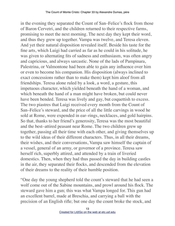in the evening they separated the Count of San–Felice's flock from those of Baron Cervetri, and the children returned to their respective farms, promising to meet the next morning. The next day they kept their word, and thus they grew up together. Vampa was twelve, and Teresa eleven. And yet their natural disposition revealed itself. Beside his taste for the fine arts, which Luigi had carried as far as he could in his solitude, he was given to alternating fits of sadness and enthusiasm, was often angry and capricious, and always sarcastic. None of the lads of Pampinara, Palestrina, or Valmontone had been able to gain any influence over him or even to become his companion. His disposition (always inclined to exact concessions rather than to make them) kept him aloof from all friendships. Teresa alone ruled by a look, a word, a gesture, this impetuous character, which yielded beneath the hand of a woman, and which beneath the hand of a man might have broken, but could never have been bended. Teresa was lively and gay, but coquettish to excess. The two piastres that Luigi received every month from the Count of San–Felice's steward, and the price of all the little carvings in wood he sold at Rome, were expended in ear–rings, necklaces, and gold hairpins. So that, thanks to her friend's generosity, Teresa was the most beautiful and the best–attired peasant near Rome. The two children grew up together, passing all their time with each other, and giving themselves up to the wild ideas of their different characters. Thus, in all their dreams, their wishes, and their conversations, Vampa saw himself the captain of a vessel, general of an army, or governor of a province. Teresa saw herself rich, superbly attired, and attended by a train of liveried domestics. Then, when they had thus passed the day in building castles in the air, they separated their flocks, and descended from the elevation of their dreams to the reality of their humble position.

"One day the young shepherd told the count's steward that he had seen a wolf come out of the Sabine mountains, and prowl around his flock. The steward gave him a gun; this was what Vampa longed for. This gun had an excellent barrel, made at Breschia, and carrying a ball with the precision of an English rifle; but one day the count broke the stock, and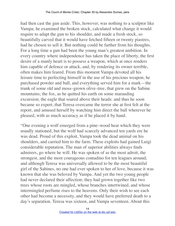had then cast the gun aside. This, however, was nothing to a sculptor like Vampa; he examined the broken stock, calculated what change it would require to adapt the gun to his shoulder, and made a fresh stock, so beautifully carved that it would have fetched fifteen or twenty piastres, had he chosen to sell it. But nothing could be farther from his thoughts. For a long time a gun had been the young man's greatest ambition. In every country where independence has taken the place of liberty, the first desire of a manly heart is to possess a weapon, which at once renders him capable of defence or attack, and, by rendering its owner terrible, often makes him feared. From this moment Vampa devoted all his leisure time to perfecting himself in the use of his precious weapon; he purchased powder and ball, and everything served him for a mark—the trunk of some old and moss–grown olive–tree, that grew on the Sabine mountains; the fox, as he quitted his earth on some marauding excursion; the eagle that soared above their heads: and thus he soon became so expert, that Teresa overcame the terror she at first felt at the report, and amused herself by watching him direct the ball wherever he pleased, with as much accuracy as if he placed it by hand.

"One evening a wolf emerged from a pine–wood hear which they were usually stationed, but the wolf had scarcely advanced ten yards ere he was dead. Proud of this exploit, Vampa took the dead animal on his shoulders, and carried him to the farm. These exploits had gained Luigi considerable reputation. The man of superior abilities always finds admirers, go where he will. He was spoken of as the most adroit, the strongest, and the most courageous contadino for ten leagues around; and although Teresa was universally allowed to be the most beautiful girl of the Sabines, no one had ever spoken to her of love, because it was known that she was beloved by Vampa. And yet the two young people had never declared their affection; they had grown together like two trees whose roots are mingled, whose branches intertwined, and whose intermingled perfume rises to the heavens. Only their wish to see each other had become a necessity, and they would have preferred death to a day's separation. Teresa was sixteen, and Vampa seventeen. About this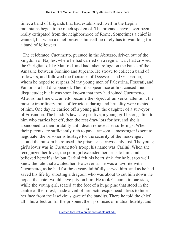time, a band of brigands that had established itself in the Lepini mountains began to be much spoken of. The brigands have never been really extirpated from the neighborhood of Rome. Sometimes a chief is wanted, but when a chief presents himself he rarely has to wait long for a band of followers.

"The celebrated Cucumetto, pursued in the Abruzzo, driven out of the kingdom of Naples, where he had carried on a regular war, had crossed the Garigliano, like Manfred, and had taken refuge on the banks of the Amasine between Sonnino and Juperno. He strove to collect a band of followers, and followed the footsteps of Decesaris and Gasperone, whom he hoped to surpass. Many young men of Palestrina, Frascati, and Pampinara had disappeared. Their disappearance at first caused much disquietude; but it was soon known that they had joined Cucumetto. After some time Cucumetto became the object of universal attention; the most extraordinary traits of ferocious daring and brutality were related of him. One day he carried off a young girl, the daughter of a surveyor of Frosinone. The bandit's laws are positive; a young girl belongs first to him who carries her off, then the rest draw lots for her, and she is abandoned to their brutality until death relieves her sufferings. When their parents are sufficiently rich to pay a ransom, a messenger is sent to negotiate; the prisoner is hostage for the security of the messenger; should the ransom be refused, the prisoner is irrevocably lost. The young girl's lover was in Cucumetto's troop; his name was Carlini. When she recognized her lover, the poor girl extended her arms to him, and believed herself safe; but Carlini felt his heart sink, for he but too well knew the fate that awaited her. However, as he was a favorite with Cucumetto, as he had for three years faithfully served him, and as he had saved his life by shooting a dragoon who was about to cut him down, he hoped the chief would have pity on him. He took Cucumetto one side, while the young girl, seated at the foot of a huge pine that stood in the centre of the forest, made a veil of her picturesque head–dress to hide her face from the lascivious gaze of the bandits. There he told the chief all—his affection for the prisoner, their promises of mutual fidelity, and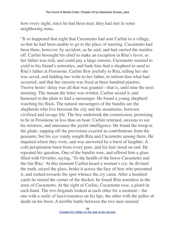how every night, since he had been near, they had met in some neighboring ruins.

"It so happened that night that Cucumetto had sent Carlini to a village, so that he had been unable to go to the place of meeting. Cucumetto had been there, however, by accident, as he said, and had carried the maiden off. Carlini besought his chief to make an exception in Rita's favor, as her father was rich, and could pay a large ransom. Cucumetto seemed to yield to his friend's entreaties, and bade him find a shepherd to send to Rita's father at Frosinone. Carlini flew joyfully to Rita, telling her she was saved, and bidding her write to her father, to inform him what had occurred, and that her ransom was fixed at three hundred piastres. Twelve hours' delay was all that was granted—that is, until nine the next morning. The instant the letter was written, Carlini seized it, and hastened to the plain to find a messenger. He found a young shepherd watching his flock. The natural messengers of the bandits are the shepherds who live between the city and the mountains, between civilized and savage life. The boy undertook the commission, promising to be in Frosinone in less than an hour. Carlini returned, anxious to see his mistress, and announce the joyful intelligence. He found the troop in the glade, supping off the provisions exacted as contributions from the peasants; but his eye vainly sought Rita and Cucumetto among them. He inquired where they were, and was answered by a burst of laughter. A cold perspiration burst from every pore, and his hair stood on end. He repeated his question. One of the bandits rose, and offered him a glass filled with Orvietto, saying, 'To the health of the brave Cucumetto and the fair Rita.' At this moment Carlini heard a woman's cry; he divined the truth, seized the glass, broke it across the face of him who presented it, and rushed towards the spot whence the cry came. After a hundred yards he turned the corner of the thicket; he found Rita senseless in the arms of Cucumetto. At the sight of Carlini, Cucumetto rose, a pistol in each hand. The two brigands looked at each other for a moment—the one with a smile of lasciviousness on his lips, the other with the pallor of death on his brow. A terrible battle between the two men seemed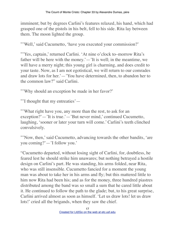imminent; but by degrees Carlini's features relaxed, his hand, which had grasped one of the pistols in his belt, fell to his side. Rita lay between them. The moon lighted the group.

"'Well,' said Cucumetto, 'have you executed your commission?'

"'Yes, captain,' returned Carlini. 'At nine o'clock to-morrow Rita's father will be here with the money.'—'It is well; in the meantime, we will have a merry night; this young girl is charming, and does credit to your taste. Now, as I am not egotistical, we will return to our comrades and draw lots for her.'—'You have determined, then, to abandon her to the common law?" said Carlini.

"'Why should an exception be made in her favor?'

"'I thought that my entreaties'—

"'What right have you, any more than the rest, to ask for an exception?'—'It is true.'—'But never mind,' continued Cucumetto, laughing, 'sooner or later your turn will come.' Carlini's teeth clinched convulsively.

"'Now, then,' said Cucumetto, advancing towards the other bandits, 'are you coming?'—'I follow you.'

"Cucumetto departed, without losing sight of Carlini, for, doubtless, he feared lest he should strike him unawares; but nothing betrayed a hostile design on Carlini's part. He was standing, his arms folded, near Rita, who was still insensible. Cucumetto fancied for a moment the young man was about to take her in his arms and fly; but this mattered little to him now Rita had been his; and as for the money, three hundred piastres distributed among the band was so small a sum that he cared little about it. He continued to follow the path to the glade; but, to his great surprise, Carlini arrived almost as soon as himself. 'Let us draw lots! let us draw lots!' cried all the brigands, when they saw the chief.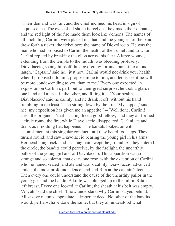"Their demand was fair, and the chief inclined his head in sign of acquiescence. The eyes of all shone fiercely as they made their demand, and the red light of the fire made them look like demons. The names of all, including Carlini, were placed in a hat, and the youngest of the band drew forth a ticket; the ticket bore the name of Diovolaccio. He was the man who had proposed to Carlini the health of their chief, and to whom Carlini replied by breaking the glass across his face. A large wound, extending from the temple to the mouth, was bleeding profusely. Diovalaccio, seeing himself thus favored by fortune, burst into a loud laugh. 'Captain,' said he, 'just now Carlini would not drink your health when I proposed it to him; propose mine to him, and let us see if he will be more condescending to you than to me.' Every one expected an explosion on Carlini's part; but to their great surprise, he took a glass in one hand and a flask in the other, and filling it,—'Your health, Diavolaccio,' said he calmly, and he drank it off, without his hand trembling in the least. Then sitting down by the fire, 'My supper,' said he; 'my expedition has given me an appetite.' — 'Well done, Carlini!' cried the brigands; 'that is acting like a good fellow;' and they all formed a circle round the fire, while Diavolaccio disappeared. Carlini ate and drank as if nothing had happened. The bandits looked on with astonishment at this singular conduct until they heard footsteps. They turned round, and saw Diavolaccio bearing the young girl in his arms. Her head hung back, and her long hair swept the ground. As they entered the circle, the bandits could perceive, by the firelight, the unearthly pallor of the young girl and of Diavolaccio. This apparition was so strange and so solemn, that every one rose, with the exception of Carlini, who remained seated, and ate and drank calmly. Diavolaccio advanced amidst the most profound silence, and laid Rita at the captain's feet. Then every one could understand the cause of the unearthly pallor in the young girl and the bandit. A knife was plunged up to the hilt in Rita's left breast. Every one looked at Carlini; the sheath at his belt was empty. 'Ah, ah,' said the chief, 'I now understand why Carlini stayed behind.' All savage natures appreciate a desperate deed. No other of the bandits would, perhaps, have done the same; but they all understood what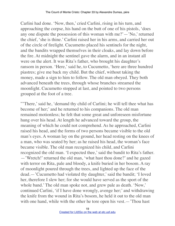Carlini had done. 'Now, then,' cried Carlini, rising in his turn, and approaching the corpse, his hand on the butt of one of his pistols, 'does any one dispute the possession of this woman with me?'—'No,' returned the chief, 'she is thine.' Carlini raised her in his arms, and carried her out of the circle of firelight. Cucumetto placed his sentinels for the night, and the bandits wrapped themselves in their cloaks, and lay down before the fire. At midnight the sentinel gave the alarm, and in an instant all were on the alert. It was Rita's father, who brought his daughter's ransom in person. 'Here,' said he, to Cucumetto, 'here are three hundred piastres; give me back my child. But the chief, without taking the money, made a sign to him to follow. The old man obeyed. They both advanced beneath the trees, through whose branches streamed the moonlight. Cucumetto stopped at last, and pointed to two persons grouped at the foot of a tree.

"There,' said he, 'demand thy child of Carlini; he will tell thee what has become of her;' and he returned to his companions. The old man remained motionless; he felt that some great and unforeseen misfortune hung over his head. At length he advanced toward the group, the meaning of which he could not comprehend. As he approached, Carlini raised his head, and the forms of two persons became visible to the old man's eyes. A woman lay on the ground, her head resting on the knees of a man, who was seated by her; as he raised his head, the woman's face became visible. The old man recognized his child, and Carlini recognized the old man. 'I expected thee,' said the bandit to Rita's father. —'Wretch!' returned the old man, 'what hast thou done?' and he gazed with terror on Rita, pale and bloody, a knife buried in her bosom. A ray of moonlight poured through the trees, and lighted up the face of the dead.—'Cucumetto had violated thy daughter,' said the bandit; 'I loved her, therefore I slew her; for she would have served as the sport of the whole band.' The old man spoke not, and grew pale as death. 'Now,' continued Carlini, 'if I have done wrongly, avenge her;' and withdrawing the knife from the wound in Rita's bosom, he held it out to the old man with one hand, while with the other he tore open his vest.—'Thou hast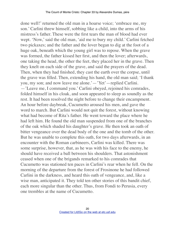done well!' returned the old man in a hoarse voice; 'embrace me, my son.' Carlini threw himself, sobbing like a child, into the arms of his mistress's father. These were the first tears the man of blood had ever wept. 'Now,' said the old man, 'aid me to bury my child.' Carlini fetched two pickaxes; and the father and the lover began to dig at the foot of a huge oak, beneath which the young girl was to repose. When the grave was formed, the father kissed her first, and then the lover; afterwards, one taking the head, the other the feet, they placed her in the grave. Then they knelt on each side of the grave, and said the prayers of the dead. Then, when they had finished, they cast the earth over the corpse, until the grave was filled. Then, extending his hand, the old man said; 'I thank you, my son; and now leave me alone.'—'Yet'—replied Carlini. —'Leave me, I command you.' Carlini obeyed, rejoined his comrades, folded himself in his cloak, and soon appeared to sleep as soundly as the rest. It had been resolved the night before to change their encampment. An hour before daybreak, Cucumetto aroused his men, and gave the word to march. But Carlini would not quit the forest, without knowing what had become of Rita's father. He went toward the place where he had left him. He found the old man suspended from one of the branches of the oak which shaded his daughter's grave. He then took an oath of bitter vengeance over the dead body of the one and the tomb of the other. But he was unable to complete this oath, for two days afterwards, in an encounter with the Roman carbineers, Carlini was killed. There was some surprise, however, that, as he was with his face to the enemy, he should have received a ball between his shoulders. That astonishment ceased when one of the brigands remarked to his comrades that Cucumetto was stationed ten paces in Carlini's rear when he fell. On the morning of the departure from the forest of Frosinone he had followed Carlini in the darkness, and heard this oath of vengeance, and, like a wise man, anticipated it. They told ten other stories of this bandit chief, each more singular than the other. Thus, from Fondi to Perusia, every one trembles at the name of Cucumetto.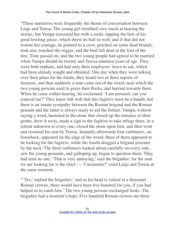"These narratives were frequently the theme of conversation between Luigi and Teresa. The young girl trembled very much at hearing the stories; but Vampa reassured her with a smile, tapping the butt of his good fowling–piece, which threw its ball so well; and if that did not restore her courage, he pointed to a crow, perched on some dead branch, took aim, touched the trigger, and the bird fell dead at the foot of the tree. Time passed on, and the two young people had agreed to be married when Vampa should be twenty and Teresa nineteen years of age. They were both orphans, and had only their employers' leave to ask, which had been already sought and obtained. One day when they were talking over their plans for the future, they heard two or three reports of firearms, and then suddenly a man came out of the wood, near which the two young persons used to graze their flocks, and hurried towards them. When he came within hearing, he exclaimed. 'I am pursued; can you conceal me?' They knew full well that this fugitive must be a bandit; but there is an innate sympathy between the Roman brigand and the Roman peasant and the latter is always ready to aid the former. Vampa, without saying a word, hastened to the stone that closed up the entrance to their grotto, drew it away, made a sign to the fugitive to take refuge there, in a retreat unknown to every one, closed the stone upon him, and then went and resumed his seat by Teresa. Instantly afterwards four carbineers, on horseback, appeared on the edge of the wood; three of them appeared to be looking for the fugitive, while the fourth dragged a brigand prisoner by the neck. The three carbineers looked about carefully on every side, saw the young peasants, and galloping up, began to question them. They had seen no one. 'That is very annoying,' said the brigadier; for the man we are looking for is the chief.'—'Cucumetto?' cried Luigi and Teresa at the same moment.

"'Yes,' replied the brigadier; 'and as his head is valued at a thousand Roman crowns, there would have been five hundred for you, if you had helped us to catch him.' The two young persons exchanged looks. The brigadier had a moment's hope. Five hundred Roman crowns are three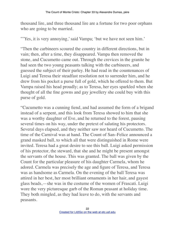thousand lire, and three thousand lire are a fortune for two poor orphans who are going to be married.

"Yes, it is very annoying,' said Vampa; 'but we have not seen him.'

"Then the carbineers scoured the country in different directions, but in vain; then, after a time, they disappeared. Vampa then removed the stone, and Cucumetto came out. Through the crevices in the granite he had seen the two young peasants talking with the carbineers, and guessed the subject of their parley. He had read in the countenances of Luigi and Teresa their steadfast resolution not to surrender him, and he drew from his pocket a purse full of gold, which he offered to them. But Vampa raised his head proudly; as to Teresa, her eyes sparkled when she thought of all the fine gowns and gay jewellery she could buy with this purse of gold.

"Cucumetto was a cunning fiend, and had assumed the form of a brigand instead of a serpent, and this look from Teresa showed to him that she was a worthy daughter of Eve, and he returned to the forest, pausing several times on his way, under the pretext of saluting his protectors. Several days elapsed, and they neither saw nor heard of Cucumetto. The time of the Carnival was at hand. The Count of San–Felice announced a grand masked ball, to which all that were distinguished in Rome were invited. Teresa had a great desire to see this ball. Luigi asked permission of his protector, the steward, that she and he might be present amongst the servants of the house. This was granted. The ball was given by the Count for the particular pleasure of his daughter Carmela, whom he adored. Carmela was precisely the age and figure of Teresa, and Teresa was as handsome as Carmela. On the evening of the ball Teresa was attired in her best, her most brilliant ornaments in her hair, and gayest glass beads,—she was in the costume of the women of Frascati. Luigi wore the very picturesque garb of the Roman peasant at holiday time. They both mingled, as they had leave to do, with the servants and peasants.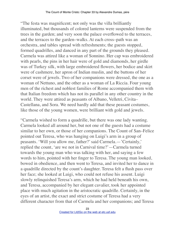"The festa was magnificent; not only was the villa brilliantly illuminated, but thousands of colored lanterns were suspended from the trees in the garden; and very soon the palace overflowed to the terraces, and the terraces to the garden–walks. At each cross–path was an orchestra, and tables spread with refreshments; the guests stopped, formed quadrilles, and danced in any part of the grounds they pleased. Carmela was attired like a woman of Sonnino. Her cap was embroidered with pearls, the pins in her hair were of gold and diamonds, her girdle was of Turkey silk, with large embroidered flowers, her bodice and skirt were of cashmere, her apron of Indian muslin, and the buttons of her corset were of jewels. Two of her companions were dressed, the one as a woman of Nettuno, and the other as a woman of La Riccia. Four young men of the richest and noblest families of Rome accompanied them with that Italian freedom which has not its parallel in any other country in the world. They were attired as peasants of Albano, Velletri, Civita– Castellana, and Sora. We need hardly add that these peasant costumes, like those of the young women, were brilliant with gold and jewels.

"Carmela wished to form a quadrille, but there was one lady wanting. Carmela looked all around her, but not one of the guests had a costume similar to her own, or those of her companions. The Count of San–Felice pointed out Teresa, who was hanging on Luigi's arm in a group of peasants. 'Will you allow me, father?' said Carmela.—'Certainly,' replied the count, 'are we not in Carnival time?'—Carmela turned towards the young man who was talking with her, and saying a few words to him, pointed with her finger to Teresa. The young man looked, bowed in obedience, and then went to Teresa, and invited her to dance in a quadrille directed by the count's daughter. Teresa felt a flush pass over her face; she looked at Luigi, who could not refuse his assent. Luigi slowly relinquished Teresa's arm, which he had held beneath his own, and Teresa, accompanied by her elegant cavalier, took her appointed place with much agitation in the aristocratic quadrille. Certainly, in the eyes of an artist, the exact and strict costume of Teresa had a very different character from that of Carmela and her companions; and Teresa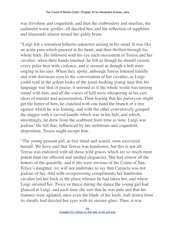was frivolous and coquettish, and thus the embroidery and muslins, the cashmere waist–girdles, all dazzled her, and the reflection of sapphires and diamonds almost turned her giddy brain.

"Luigi felt a sensation hitherto unknown arising in his mind. It was like an acute pain which gnawed at his heart, and then thrilled through his whole body. He followed with his eye each movement of Teresa and her cavalier; when their hands touched, he felt as though he should swoon; every pulse beat with violence, and it seemed as though a bell were ringing in his ears. When they spoke, although Teresa listened timidly and with downcast eyes to the conversation of her cavalier, as Luigi could read in the ardent looks of the good–looking young man that his language was that of praise, it seemed as if the whole world was turning round with him, and all the voices of hell were whispering in his ears ideas of murder and assassination. Then fearing that his paroxysm might get the better of him, he clutched with one hand the branch of a tree against which he was leaning, and with the other convulsively grasped the dagger with a carved handle which was in his belt, and which, unwittingly, he drew from the scabbard from time to time. Luigi was jealous! He felt that, influenced by her ambitions and coquettish disposition, Teresa might escape him.

"The young peasant girl, at first timid and scared, soon recovered herself. We have said that Teresa was handsome, but this is not all; Teresa was endowed with all those wild graces which are so much more potent than our affected and studied elegancies. She had almost all the honors of the quadrille, and if she were envious of the Count of San– Felice's daughter, we will not undertake to say that Carmela was not jealous of her. And with overpowering compliments her handsome cavalier led her back to the place whence he had taken her, and where Luigi awaited her. Twice or thrice during the dance the young girl had glanced at Luigi, and each time she saw that he was pale and that his features were agitated, once even the blade of his knife, half drawn from its sheath, had dazzled her eyes with its sinister glare. Thus, it was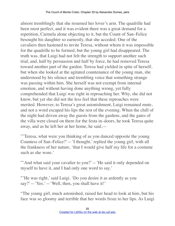almost tremblingly that she resumed her lover's arm. The quadrille had been most perfect, and it was evident there was a great demand for a repetition, Carmela alone objecting to it, but the Count of San–Felice besought his daughter so earnestly, that she acceded. One of the cavaliers then hastened to invite Teresa, without whom it was impossible for the quadrille to be formed, but the young girl had disappeared. The truth was, that Luigi had not felt the strength to support another such trial, and, half by persuasion and half by force, he had removed Teresa toward another part of the garden. Teresa had yielded in spite of herself, but when she looked at the agitated countenance of the young man, she understood by his silence and trembling voice that something strange was passing within him. She herself was not exempt from internal emotion, and without having done anything wrong, yet fully comprehended that Luigi was right in reproaching her. Why, she did not know, but yet she did not the less feel that these reproaches were merited. However, to Teresa's great astonishment, Luigi remained mute, and not a word escaped his lips the rest of the evening. When the chill of the night had driven away the guests from the gardens, and the gates of the villa were closed on them for the festa in–doors, he took Teresa quite away, and as he left her at her home, he said,—

"'Teresa, what were you thinking of as you danced opposite the young Countess of San–Felice?'—'I thought,' replied the young girl, with all the frankness of her nature, 'that I would give half my life for a costume such as she wore.'

"'And what said your cavalier to you?' — 'He said it only depended on myself to have it, and I had only one word to say.'

"'He was right,' said Luigi. 'Do you desire it as ardently as you say?'—'Yes.'—'Well, then, you shall have it!'

"The young girl, much astonished, raised her head to look at him, but his face was so gloomy and terrible that her words froze to her lips. As Luigi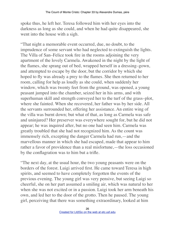spoke thus, he left her. Teresa followed him with her eyes into the darkness as long as she could, and when he had quite disappeared, she went into the house with a sigh.

"That night a memorable event occurred, due, no doubt, to the imprudence of some servant who had neglected to extinguish the lights. The Villa of San–Felice took fire in the rooms adjoining the very apartment of the lovely Carmela. Awakened in the night by the light of the flames, she sprang out of bed, wrapped herself in a dressing–gown, and attempted to escape by the door, but the corridor by which she hoped to fly was already a prey to the flames. She then returned to her room, calling for help as loudly as she could, when suddenly her window, which was twenty feet from the ground, was opened, a young peasant jumped into the chamber, seized her in his arms, and with superhuman skill and strength conveyed her to the turf of the grass–plot, where she fainted. When she recovered, her father was by her side. All the servants surrounded her, offering her assistance. An entire wing of the villa was burnt down; but what of that, as long as Carmela was safe and uninjured? Her preserver was everywhere sought for, but he did not appear; he was inquired after, but no one had seen him. Carmela was greatly troubled that she had not recognized him. As the count was immensely rich, excepting the danger Carmela had run,—and the marvellous manner in which she had escaped, made that appear to him rather a favor of providence than a real misfortune,—the loss occasioned by the conflagration was to him but a trifle.

"The next day, at the usual hour, the two young peasants were on the borders of the forest. Luigi arrived first. He came toward Teresa in high spirits, and seemed to have completely forgotten the events of the previous evening. The young girl was very pensive, but seeing Luigi so cheerful, she on her part assumed a smiling air, which was natural to her when she was not excited or in a passion. Luigi took her arm beneath his own, and led her to the door of the grotto. Then he paused. The young girl, perceiving that there was something extraordinary, looked at him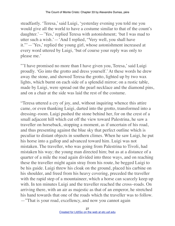steadfastly. 'Teresa,' said Luigi, 'yesterday evening you told me you would give all the world to have a costume similar to that of the count's daughter.'—'Yes,' replied Teresa with astonishment; 'but I was mad to utter such a wish.'—'And I replied, "Very well, you shall have it."'—'Yes,' replied the young girl, whose astonishment increased at every word uttered by Luigi, 'but of course your reply was only to please me.'

"'I have promised no more than I have given you, Teresa,' said Luigi proudly. 'Go into the grotto and dress yourself.' At these words he drew away the stone, and showed Teresa the grotto, lighted up by two wax lights, which burnt on each side of a splendid mirror; on a rustic table, made by Luigi, were spread out the pearl necklace and the diamond pins, and on a chair at the side was laid the rest of the costume.

"Teresa uttered a cry of joy, and, without inquiring whence this attire came, or even thanking Luigi, darted into the grotto, transformed into a dressing–room. Luigi pushed the stone behind her, for on the crest of a small adjacent hill which cut off the view toward Palestrina, he saw a traveller on horseback, stopping a moment, as if uncertain of his road, and thus presenting against the blue sky that perfect outline which is peculiar to distant objects in southern climes. When he saw Luigi, he put his horse into a gallop and advanced toward him. Luigi was not mistaken. The traveller, who was going from Palestrina to Tivoli, had mistaken his way; the young man directed him; but as at a distance of a quarter of a mile the road again divided into three ways, and on reaching these the traveller might again stray from his route, he begged Luigi to be his guide. Luigi threw his cloak on the ground, placed his carbine on his shoulder, and freed from his heavy covering, preceded the traveller with the rapid step of a mountaineer, which a horse can scarcely keep up with. In ten minutes Luigi and the traveller reached the cross–roads. On arriving there, with an air as majestic as that of an emperor, he stretched his hand towards that one of the roads which the traveller was to follow. —"That is your road, excellency, and now you cannot again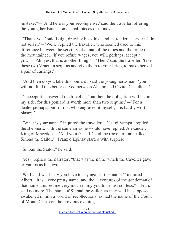mistake."—'And here is your recompense,' said the traveller, offering the young herdsman some small pieces of money.

"'Thank you,' said Luigi, drawing back his hand; 'I render a service, I do not sell it.'—'Well,' replied the traveller, who seemed used to this difference between the servility of a man of the cities and the pride of the mountaineer, 'if you refuse wages, you will, perhaps, accept a gift.'—'Ah, yes, that is another thing.'—'Then,' said the traveller, 'take these two Venetian sequins and give them to your bride, to make herself a pair of earrings.'

"'And then do you take this poniard,' said the young herdsman; 'you will not find one better carved between Albano and Civita–Castellana.'

"'I accept it,' answered the traveller, 'but then the obligation will be on my side, for this poniard is worth more than two sequins.'—'For a dealer perhaps; but for me, who engraved it myself, it is hardly worth a piastre.'

"What is your name?' inquired the traveller.—'Luigi Vampa,' replied the shepherd, with the same air as he would have replied, Alexander, King of Macedon.—'And yours?'—'I,' said the traveller, 'am called Sinbad the Sailor.'" Franz d'Epinay started with surprise.

"Sinbad the Sailor." he said.

"Yes," replied the narrator; "that was the name which the traveller gave to Vampa as his own."

"Well, and what may you have to say against this name?" inquired Albert; "it is a very pretty name, and the adventures of the gentleman of that name amused me very much in my youth, I must confess."—Franz said no more. The name of Sinbad the Sailor, as may well be supposed, awakened in him a world of recollections, as had the name of the Count of Monte Cristo on the previous evening.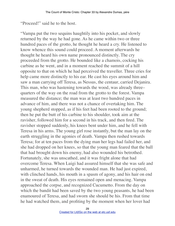"Proceed!" said he to the host.

"Vampa put the two sequins haughtily into his pocket, and slowly returned by the way he had gone. As he came within two or three hundred paces of the grotto, he thought he heard a cry. He listened to know whence this sound could proceed. A moment afterwards he thought he heard his own name pronounced distinctly. The cry proceeded from the grotto. He bounded like a chamois, cocking his carbine as he went, and in a moment reached the summit of a hill opposite to that on which he had perceived the traveller. Three cries for help came more distinctly to his ear. He cast his eyes around him and saw a man carrying off Teresa, as Nessus, the centaur, carried Dejanira. This man, who was hastening towards the wood, was already three– quarters of the way on the road from the grotto to the forest. Vampa measured the distance; the man was at least two hundred paces in advance of him, and there was not a chance of overtaking him. The young shepherd stopped, as if his feet had been rooted to the ground; then he put the butt of his carbine to his shoulder, took aim at the ravisher, followed him for a second in his track, and then fired. The ravisher stopped suddenly, his knees bent under him, and he fell with Teresa in his arms. The young girl rose instantly, but the man lay on the earth struggling in the agonies of death. Vampa then rushed towards Teresa; for at ten paces from the dying man her legs had failed her, and she had dropped on her knees, so that the young man feared that the ball that had brought down his enemy, had also wounded his betrothed. Fortunately, she was unscathed, and it was fright alone that had overcome Teresa. When Luigi had assured himself that she was safe and unharmed, he turned towards the wounded man. He had just expired, with clinched hands, his mouth in a spasm of agony, and his hair on end in the sweat of death. His eyes remained open and menacing. Vampa approached the corpse, and recognized Cucumetto. From the day on which the bandit had been saved by the two young peasants, he had been enamoured of Teresa, and had sworn she should be his. From that time he had watched them, and profiting by the moment when her lover had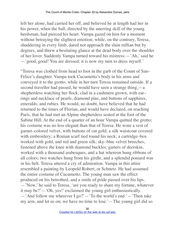left her alone, had carried her off, and believed he at length had her in his power, when the ball, directed by the unerring skill of the young herdsman, had pierced his heart. Vampa gazed on him for a moment without betraying the slightest emotion; while, on the contrary, Teresa, shuddering in every limb, dared not approach the slain ruffian but by degrees, and threw a hesitating glance at the dead body over the shoulder of her lover. Suddenly Vampa turned toward his mistress:—'Ah,' said he —'good, good! You are dressed; it is now my turn to dress myself.'

"Teresa was clothed from head to foot in the garb of the Count of San– Felice's daughter. Vampa took Cucumetto's body in his arms and conveyed it to the grotto, while in her turn Teresa remained outside. If a second traveller had passed, he would have seen a strange thing,—a shepherdess watching her flock, clad in a cashmere grown, with ear– rings and necklace of pearls, diamond pins, and buttons of sapphires, emeralds, and rubies. He would, no doubt, have believed that he had returned to the times of Florian, and would have declared, on reaching Paris, that he had met an Alpine shepherdess seated at the foot of the Sabine Hill. At the end of a quarter of an hour Vampa quitted the grotto; his costume was no less elegant than that of Teresa. He wore a vest of garnet–colored velvet, with buttons of cut gold; a silk waistcoat covered with embroidery; a Roman scarf tied round his neck; a cartridge–box worked with gold, and red and green silk; sky–blue velvet breeches, fastened above the knee with diamond buckles; garters of deerskin, worked with a thousand arabesques, and a hat whereon hung ribbons of all colors; two watches hung from his girdle, and a splendid poniard was in his belt. Teresa uttered a cry of admiration. Vampa in this attire resembled a painting by Leopold Robert, or Schnetz. He had assumed the entire costume of Cucumetto. The young man saw the effect produced on his betrothed, and a smile of pride passed over his lips. —'Now,' he said to Teresa, 'are you ready to share my fortune, whatever it may be?'—'Oh, yes!' exclaimed the young girl enthusiastically. —'And follow me wherever I go?'—'To the world's end.'—'Then take my arm, and let us on; we have no time to lose.'—The young girl did so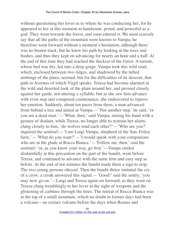without questioning her lover as to where he was conducting her, for he appeared to her at this moment as handsome, proud, and powerful as a god. They went towards the forest, and soon entered it. We need scarcely say that all the paths of the mountain were known to Vampa; he therefore went forward without a moment's hesitation, although there was no beaten track, but he knew his path by looking at the trees and bushes, and thus they kept on advancing for nearly an hour and a half. At the end of this time they had reached the thickest of the forest. A torrent, whose bed was dry, led into a deep gorge. Vampa took this wild road, which, enclosed between two ridges, and shadowed by the tufted umbrage of the pines, seemed, but for the difficulties of its descent, that path to Avernus of which Virgil speaks. Teresa had become alarmed at the wild and deserted look of the plain around her, and pressed closely against her guide, not uttering a syllable; but as she saw him advance with even step and composed countenance, she endeavored to repress her emotion. Suddenly, about ten paces from them, a man advanced from behind a tree and aimed at Vampa.—'Not another step,' he said, 'or you are a dead man.'—'What, then,' said Vampa, raising his hand with a gesture of disdain, while Teresa, no longer able to restrain her alarm, clung closely to him, 'do wolves rend each other?'—'Who are you?' inquired the sentinel.—'I am Luigi Vampa, shepherd of the San–Felice farm.'—'What do you want?'—'I would speak with your companions who are in the glade at Rocca Bianca.'—'Follow me, then,' said the sentinel; 'or, as you know your way, go first.'—Vampa smiled disdainfully at this precaution on the part of the bandit, went before Teresa, and continued to advance with the same firm and easy step as before. At the end of ten minutes the bandit made them a sign to stop. The two young persons obeyed. Then the bandit thrice imitated the cry of a crow; a croak answered this signal.—'Good!' said the sentry, 'you may now go on.'—Luigi and Teresa again set forward; as they went on Teresa clung tremblingly to her lover at the sight of weapons and the glistening of carbines through the trees. The retreat of Rocca Bianca was at the top of a small mountain, which no doubt in former days had been a volcano—an extinct volcano before the days when Remus and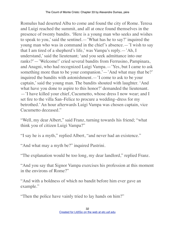Romulus had deserted Alba to come and found the city of Rome. Teresa and Luigi reached the summit, and all at once found themselves in the presence of twenty bandits. 'Here is a young man who seeks and wishes to speak to you,' said the sentinel.—'What has he to say?' inquired the young man who was in command in the chief's absence.—'I wish to say that I am tired of a shepherd's life,' was Vampa's reply.—'Ah, I understand,' said the lieutenant; 'and you seek admittance into our ranks?'—'Welcome!' cried several bandits from Ferrusino, Pampinara, and Anagni, who had recognized Luigi Vampa.—'Yes, but I came to ask something more than to be your companion.'—'And what may that be?' inquired the bandits with astonishment.—'I come to ask to be your captain,' said the young man. The bandits shouted with laughter. 'And what have you done to aspire to this honor?' demanded the lieutenant. —'I have killed your chief, Cucumetto, whose dress I now wear; and I set fire to the villa San–Felice to procure a wedding–dress for my betrothed.' An hour afterwards Luigi Vampa was chosen captain, vice Cucumetto deceased."

"Well, my dear Albert," said Franz, turning towards his friend; "what think you of citizen Luigi Vampa?"

"I say he is a myth," replied Albert, "and never had an existence."

"And what may a myth be?" inquired Pastrini.

"The explanation would be too long, my dear landlord," replied Franz.

"And you say that Signor Vampa exercises his profession at this moment in the environs of Rome?"

"And with a boldness of which no bandit before him ever gave an example."

"Then the police have vainly tried to lay hands on him?"